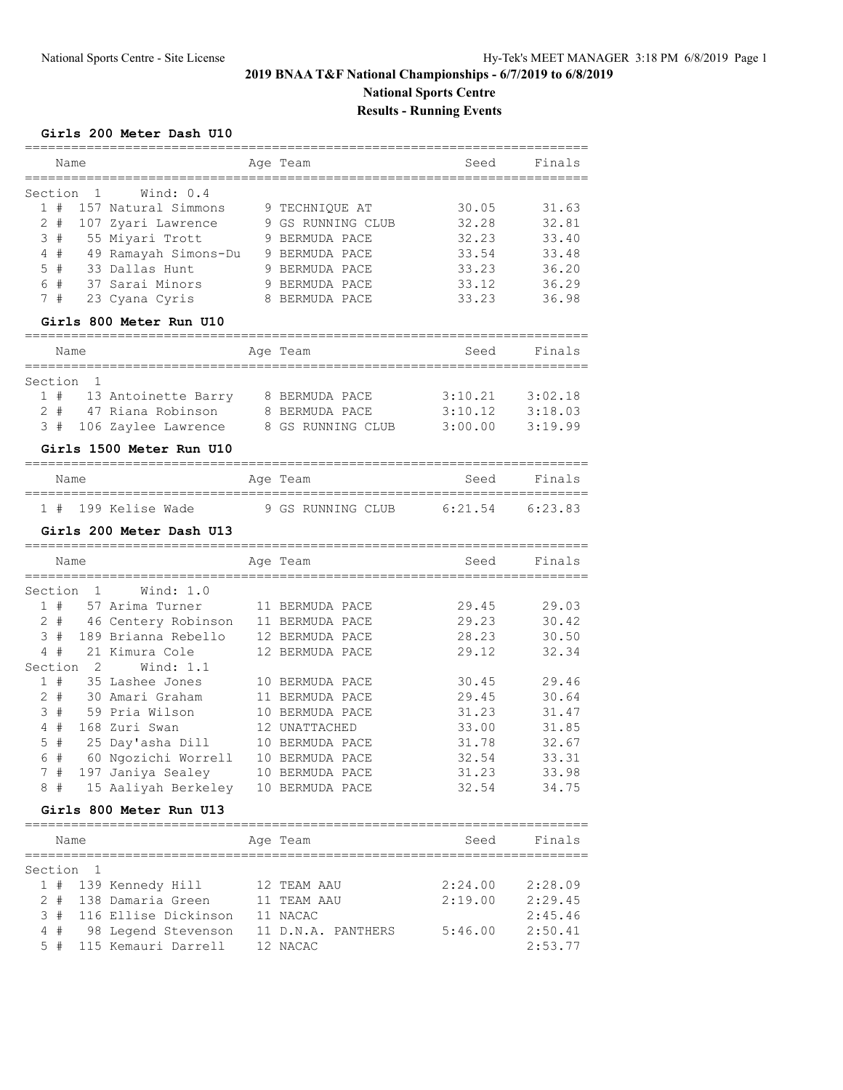# **2019 BNAA T&F National Championships - 6/7/2019 to 6/8/2019 National Sports Centre**

# **Results - Running Events**

## **Girls 200 Meter Dash U10**

| Name<br>:=============                                                   |  | Aqe Team          | Seed    | Finals  |  |  |  |  |  |
|--------------------------------------------------------------------------|--|-------------------|---------|---------|--|--|--|--|--|
| $\mathbf{1}$<br>Section<br>Wind: 0.4                                     |  |                   |         |         |  |  |  |  |  |
| 1#<br>157 Natural Simmons                                                |  | 9 TECHNIQUE AT    | 30.05   | 31.63   |  |  |  |  |  |
| $2 +$<br>107 Zyari Lawrence                                              |  | 9 GS RUNNING CLUB | 32.28   | 32.81   |  |  |  |  |  |
| 3<br>#<br>55 Miyari Trott                                                |  | 9 BERMUDA PACE    | 32.23   | 33.40   |  |  |  |  |  |
| 4#<br>49 Ramayah Simons-Du                                               |  | 9 BERMUDA PACE    | 33.54   | 33.48   |  |  |  |  |  |
| #<br>33 Dallas Hunt<br>5                                                 |  | 9 BERMUDA PACE    | 33.23   | 36.20   |  |  |  |  |  |
| 6 #<br>37 Sarai Minors                                                   |  | 9 BERMUDA PACE    | 33.12   | 36.29   |  |  |  |  |  |
| 7<br>#<br>23 Cyana Cyris                                                 |  | 8 BERMUDA PACE    | 33.23   | 36.98   |  |  |  |  |  |
| Girls 800 Meter Run U10                                                  |  |                   |         |         |  |  |  |  |  |
| ==========================                                               |  |                   |         |         |  |  |  |  |  |
| Name<br>_________                                                        |  | Ace Team          | Seed    | Finals  |  |  |  |  |  |
| $\mathbf{1}$<br>Section                                                  |  |                   |         |         |  |  |  |  |  |
| 1#<br>13 Antoinette Barry                                                |  | 8 BERMUDA PACE    | 3:10.21 | 3:02.18 |  |  |  |  |  |
| $2 +$<br>47 Riana Robinson                                               |  | 8 BERMUDA PACE    | 3:10.12 | 3:18.03 |  |  |  |  |  |
| 3#<br>106 Zaylee Lawrence                                                |  | 8 GS RUNNING CLUB | 3:00.00 | 3:19.99 |  |  |  |  |  |
| Girls 1500 Meter Run U10                                                 |  |                   |         |         |  |  |  |  |  |
| Name                                                                     |  | Age Team          | Seed    | Finals  |  |  |  |  |  |
|                                                                          |  |                   |         |         |  |  |  |  |  |
| 1#<br>199 Kelise Wade                                                    |  | 9 GS RUNNING CLUB | 6:21.54 | 6:23.83 |  |  |  |  |  |
| Girls 200 Meter Dash U13                                                 |  |                   |         |         |  |  |  |  |  |
| Name                                                                     |  | Age Team          | Seed    | Finals  |  |  |  |  |  |
| --------------------------------<br>Section<br>$\mathbf{1}$<br>Wind: 1.0 |  |                   |         |         |  |  |  |  |  |
| 1#<br>57 Arima Turner                                                    |  | 11 BERMUDA PACE   | 29.45   | 29.03   |  |  |  |  |  |
| $2 +$<br>46 Centery Robinson                                             |  | 11 BERMUDA PACE   | 29.23   | 30.42   |  |  |  |  |  |
| 3#<br>189 Brianna Rebello                                                |  | 12 BERMUDA PACE   | 28.23   | 30.50   |  |  |  |  |  |
| 4#<br>21 Kimura Cole                                                     |  | 12 BERMUDA PACE   | 29.12   | 32.34   |  |  |  |  |  |
| $\overline{2}$<br>Section<br>Wind: 1.1                                   |  |                   |         |         |  |  |  |  |  |
| 1#<br>35 Lashee Jones                                                    |  | 10 BERMUDA PACE   | 30.45   | 29.46   |  |  |  |  |  |
| $2 +$<br>30 Amari Graham                                                 |  | 11 BERMUDA PACE   | 29.45   | 30.64   |  |  |  |  |  |
| 3<br>#<br>59 Pria Wilson                                                 |  | 10 BERMUDA PACE   | 31.23   | 31.47   |  |  |  |  |  |
| 4#<br>168 Zuri Swan                                                      |  | 12 UNATTACHED     | 33.00   | 31.85   |  |  |  |  |  |
| #<br>5<br>25 Day'asha Dill                                               |  | 10 BERMUDA PACE   | 31.78   | 32.67   |  |  |  |  |  |
| 6<br>#<br>60 Ngozichi Worrell                                            |  | 10 BERMUDA PACE   | 32.54   | 33.31   |  |  |  |  |  |
| 7<br>#<br>197 Janiya Sealey                                              |  | 10 BERMUDA PACE   | 31.23   | 33.98   |  |  |  |  |  |
| #<br>15 Aaliyah Berkeley<br>8                                            |  | 10 BERMUDA PACE   | 32.54   | 34.75   |  |  |  |  |  |
| Girls 800 Meter Run U13                                                  |  |                   |         |         |  |  |  |  |  |
|                                                                          |  |                   |         |         |  |  |  |  |  |

| Name |           |                          |  | Age Team           | Seed    | Finals  |  |  |  |  |  |
|------|-----------|--------------------------|--|--------------------|---------|---------|--|--|--|--|--|
|      |           |                          |  |                    |         |         |  |  |  |  |  |
|      | Section 1 |                          |  |                    |         |         |  |  |  |  |  |
|      |           | 1 # 139 Kennedy Hill     |  | 12 TEAM AAU        | 2:24.00 | 2:28.09 |  |  |  |  |  |
|      |           | 2 # 138 Damaria Green    |  | 11 TEAM AAU        | 2:19.00 | 2:29.45 |  |  |  |  |  |
|      |           | 3 # 116 Ellise Dickinson |  | 11 NACAC           |         | 2:45.46 |  |  |  |  |  |
| 4#   |           | 98 Legend Stevenson      |  | 11 D.N.A. PANTHERS | 5:46.00 | 2:50.41 |  |  |  |  |  |
| 5#   |           | 115 Kemauri Darrell      |  | 12 NACAC           |         | 2:53.77 |  |  |  |  |  |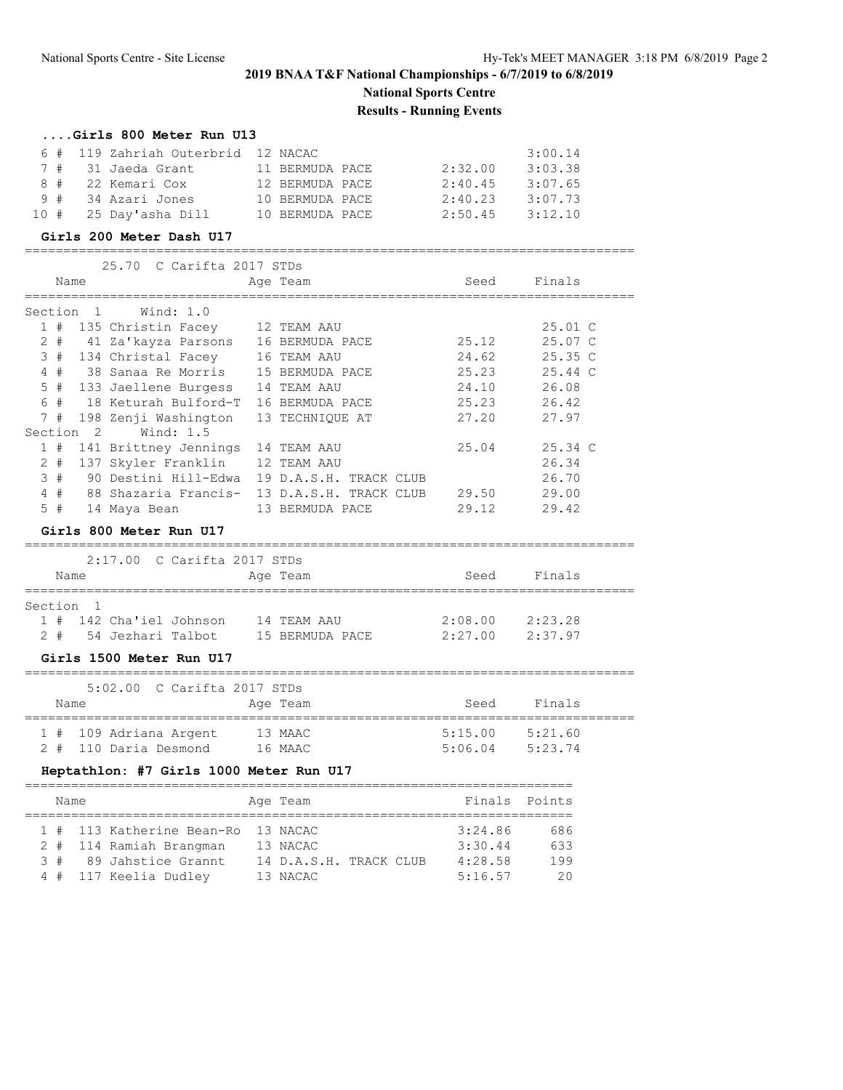# **2019 BNAA T&F National Championships - 6/7/2019 to 6/8/2019**

# **National Sports Centre**

# **Results - Running Events**

## **....Girls 800 Meter Run U13**

|  |                           | 6 # 119 Zahriah Outerbrid 12 NACAC |                 |         | 3:00.14 |
|--|---------------------------|------------------------------------|-----------------|---------|---------|
|  | 7 # 31 Jaeda Grant        |                                    | 11 BERMUDA PACE | 2:32.00 | 3:03.38 |
|  | 8 # 22 Kemari Cox         |                                    | 12 BERMUDA PACE | 2:40.45 | 3:07.65 |
|  | 9 # 34 Azari Jones        |                                    | 10 BERMUDA PACE | 2:40.23 | 3:07.73 |
|  | $10$ # $25$ Day'asha Dill |                                    | 10 BERMUDA PACE | 2:50.45 | 3:12.10 |

#### **Girls 200 Meter Dash U17**

|         |       |                | 25.70 C Carifta 2017 STDs          |                 |                        |       |                   |  |  |  |  |
|---------|-------|----------------|------------------------------------|-----------------|------------------------|-------|-------------------|--|--|--|--|
|         | Name  |                |                                    | Age Team        |                        | Seed  | Finals            |  |  |  |  |
| Section |       | $\overline{1}$ | Wind: 1.0                          |                 |                        |       |                   |  |  |  |  |
|         |       |                |                                    |                 |                        |       |                   |  |  |  |  |
|         | 1#    |                | 135 Christin Facey 12 TEAM AAU     |                 |                        |       | $25.01 \text{ C}$ |  |  |  |  |
|         |       |                | 2 # 41 Za'kayza Parsons            | 16 BERMUDA PACE |                        | 25.12 | 25.07 C           |  |  |  |  |
|         | 3#    |                | 134 Christal Facey                 | 16 TEAM AAU     |                        | 24.62 | 25.35C            |  |  |  |  |
|         | 4#    |                | 38 Sanaa Re Morris 15 BERMUDA PACE |                 |                        | 25.23 | $25.44 \text{ C}$ |  |  |  |  |
|         |       |                | 5 # 133 Jaellene Burgess           | 14 TEAM AAU     |                        | 24.10 | 26.08             |  |  |  |  |
|         |       |                | 6 # 18 Keturah Bulford-T           | 16 BERMUDA PACE |                        | 25.23 | 26.42             |  |  |  |  |
|         | 7#    |                | 198 Zenji Washington               | 13 TECHNIOUE AT |                        | 27.20 | 27.97             |  |  |  |  |
| Section |       | - 2            | Wind: 1.5                          |                 |                        |       |                   |  |  |  |  |
|         | 1#    |                | 141 Brittney Jennings              | 14 TEAM AAU     |                        | 25.04 | $25.34 \text{ C}$ |  |  |  |  |
|         | $2 +$ |                | 137 Skyler Franklin                | 12 TEAM AAU     |                        |       | 26.34             |  |  |  |  |
|         | 3#    |                | 90 Destini Hill-Edwa               |                 | 19 D.A.S.H. TRACK CLUB |       | 26.70             |  |  |  |  |
|         | 4#    |                | 88 Shazaria Francis-               |                 | 13 D.A.S.H. TRACK CLUB | 29.50 | 29.00             |  |  |  |  |
|         | 5#    |                | 14 Maya Bean                       | 13 BERMUDA PACE |                        | 29.12 | 29.42             |  |  |  |  |

### **Girls 800 Meter Run U17**

|           |  |                       | 2:17.00 C Carifta 2017 STDs |  |                 |  |         |         |  |
|-----------|--|-----------------------|-----------------------------|--|-----------------|--|---------|---------|--|
| Name      |  |                       |                             |  | Age Team        |  | Seed    | Finals  |  |
| Section 1 |  |                       |                             |  |                 |  |         |         |  |
| $1 \#$    |  | 142 Cha'iel Johnson   |                             |  | 14 TEAM AAU     |  | 2:08.00 | 2:23.28 |  |
|           |  | 2 # 54 Jezhari Talbot |                             |  | 15 BERMUDA PACE |  | 2:27.00 | 2:37.97 |  |

## **Girls 1500 Meter Run U17**

|      |  |                        | 5:02.00 C Carifta 2017 STDs |  |          |  |         |  |         |  |
|------|--|------------------------|-----------------------------|--|----------|--|---------|--|---------|--|
| Name |  |                        |                             |  | Age Team |  | Seed    |  | Finals  |  |
|      |  |                        |                             |  |          |  |         |  |         |  |
|      |  | 1 # 109 Adriana Argent |                             |  | 13 MAAC  |  | 5:15.00 |  | 5:21.60 |  |
|      |  | 2 # 110 Daria Desmond  |                             |  | 16 MAAC  |  | 5:06.04 |  | 5:23.74 |  |

# **Heptathlon: #7 Girls 1000 Meter Run U17**

| Name |  |                                    |  | Age Team               |  |  | Finals Points |     |  |
|------|--|------------------------------------|--|------------------------|--|--|---------------|-----|--|
|      |  |                                    |  |                        |  |  |               |     |  |
|      |  | 1 # 113 Katherine Bean-Ro 13 NACAC |  |                        |  |  | 3:24.86       | 686 |  |
|      |  | 2 # 114 Ramiah Brangman            |  | 13 NACAC               |  |  | 3:30.44       | 633 |  |
| 3#   |  | 89 Jahstice Grannt                 |  | 14 D.A.S.H. TRACK CLUB |  |  | 4:28.58       | 199 |  |
|      |  | 4 # 117 Keelia Dudley              |  | 13 NACAC               |  |  | 5:16.57       | -20 |  |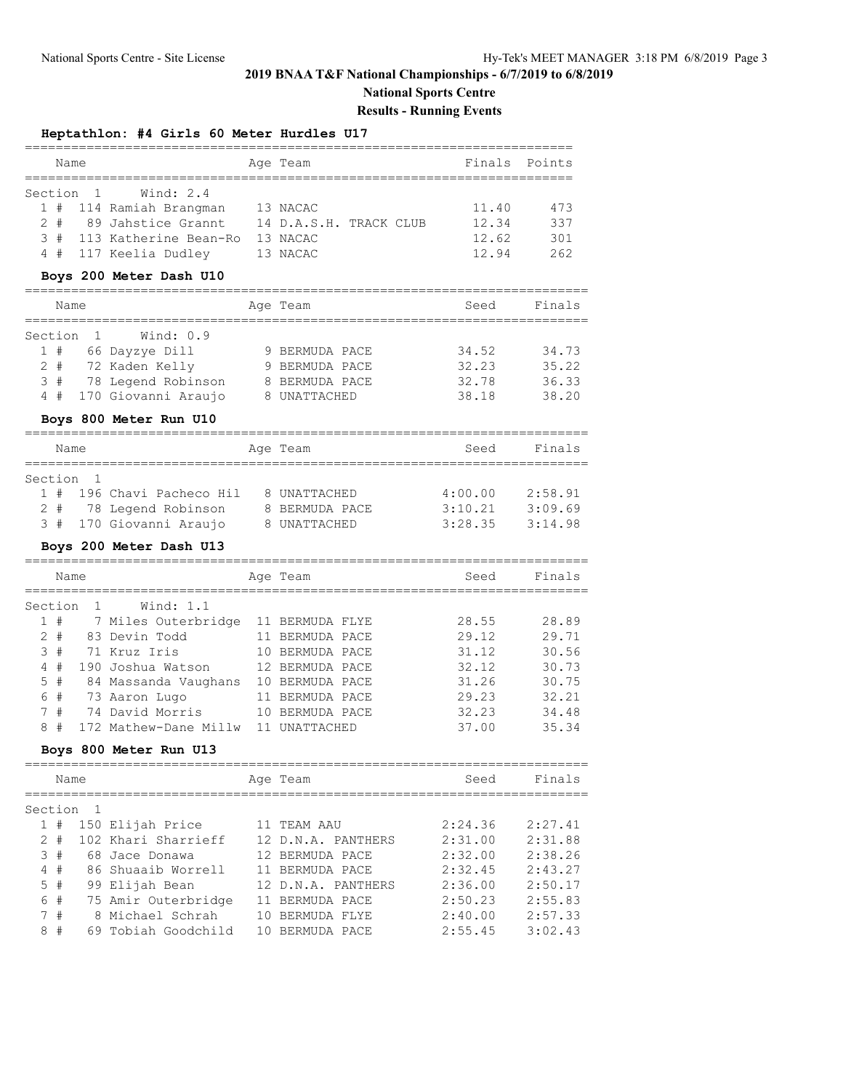# **2019 BNAA T&F National Championships - 6/7/2019 to 6/8/2019**

**National Sports Centre**

## **Results - Running Events**

### **Heptathlon: #4 Girls 60 Meter Hurdles U17**

| Name |  |                           |  | Age Team               |  |  | Finals Points |     |  |  |
|------|--|---------------------------|--|------------------------|--|--|---------------|-----|--|--|
|      |  |                           |  |                        |  |  |               |     |  |  |
|      |  | Section 1 Wind: 2.4       |  |                        |  |  |               |     |  |  |
|      |  | 1 # 114 Ramiah Brangman   |  | 13 NACAC               |  |  | 11.40         | 473 |  |  |
|      |  | 2 # 89 Jahstice Grannt    |  | 14 D.A.S.H. TRACK CLUB |  |  | 12.34         | 337 |  |  |
|      |  | 3 # 113 Katherine Bean-Ro |  | 13 NACAC               |  |  | 12.62         | 301 |  |  |
|      |  | 4 # 117 Keelia Dudley     |  | 13 NACAC               |  |  | 12.94         | 262 |  |  |

### **Boys 200 Meter Dash U10**

|       | Name      |  |                     |  | Age Team       |  | Seed  | Finals |  |  |  |
|-------|-----------|--|---------------------|--|----------------|--|-------|--------|--|--|--|
|       |           |  |                     |  |                |  |       |        |  |  |  |
|       | Section 1 |  | Wind: 0.9           |  |                |  |       |        |  |  |  |
| 1#    |           |  | 66 Dayzye Dill      |  | 9 BERMUDA PACE |  | 34.52 | 34.73  |  |  |  |
| $2 +$ |           |  | 72 Kaden Kelly      |  | 9 BERMUDA PACE |  | 32.23 | 35.22  |  |  |  |
| 3#    |           |  | 78 Legend Robinson  |  | 8 BERMUDA PACE |  | 32.78 | 36.33  |  |  |  |
| 4     | #         |  | 170 Giovanni Araujo |  | 8 UNATTACHED   |  | 38.18 | 38.20  |  |  |  |

## **Boys 800 Meter Run U10**

|           | Name  |  |                         |  | Age Team       | Seed    | Finals  |  |  |  |  |
|-----------|-------|--|-------------------------|--|----------------|---------|---------|--|--|--|--|
|           |       |  |                         |  |                |         |         |  |  |  |  |
| Section 1 |       |  |                         |  |                |         |         |  |  |  |  |
| $1 \#$    |       |  | 196 Chavi Pacheco Hil   |  | 8 UNATTACHED   | 4:00.00 | 2:58.91 |  |  |  |  |
|           | $2 +$ |  | 78 Legend Robinson      |  | 8 BERMUDA PACE | 3:10.21 | 3:09.69 |  |  |  |  |
|           |       |  | 3 # 170 Giovanni Araujo |  | 8 UNATTACHED   | 3:28.35 | 3:14.98 |  |  |  |  |

## **Boys 200 Meter Dash U13**

|         | Name  |                       | Age Team          | Seed  | Finals |
|---------|-------|-----------------------|-------------------|-------|--------|
| Section |       | Wind: 1.1             |                   |       |        |
|         | 1#    | 7 Miles Outerbridge   | 11 BERMUDA FLYE   | 28.55 | 28.89  |
|         | $2 +$ | 83 Devin Todd         | BERMUDA PACE      | 29.12 | 29.71  |
| 3#      |       | 71 Kruz Iris          | BERMUDA PACE      | 31.12 | 30.56  |
| 4       | #     | 190 Joshua Watson     | 12 BERMUDA PACE   | 32.12 | 30.73  |
| 5#      |       | 84 Massanda Vaughans  | BERMUDA PACE      | 31.26 | 30.75  |
| 6       | #     | 73 Aaron Lugo         | BERMUDA PACE      | 29.23 | 32.21  |
|         | 7#    | 74 David Morris       | BERMUDA PACE      | 32.23 | 34.48  |
| 8       | #     | 172 Mathew-Dane Millw | <b>UNATTACHED</b> | 37.00 | 35.34  |

## **Boys 800 Meter Run U13**

|               | Name |                     | Age Team           | Seed    | Finals  |
|---------------|------|---------------------|--------------------|---------|---------|
| Section       |      |                     |                    |         |         |
|               | #    | 150 Elijah Price    | TEAM AAU           | 2:24.36 | 2:27.41 |
| $\mathcal{L}$ | #    | 102 Khari Sharrieff | 12 D.N.A. PANTHERS | 2:31.00 | 2:31.88 |
|               | 3#   | 68 Jace Donawa      | 12 BERMUDA PACE    | 2:32.00 | 2:38.26 |
| 4             | #    | 86 Shuaaib Worrell  | 11 BERMUDA PACE    | 2:32.45 | 2:43.27 |
| 5             | #    | 99 Elijah Bean      | 12 D.N.A. PANTHERS | 2:36.00 | 2:50.17 |
| 6             | #    | 75 Amir Outerbridge | BERMUDA PACE       | 2:50.23 | 2:55.83 |
| 7             | #    | 8 Michael Schrah    | BERMUDA FLYE       | 2:40.00 | 2:57.33 |
| 8             | #    | 69 Tobiah Goodchild | BERMUDA PACE       | 2:55.45 | 3:02.43 |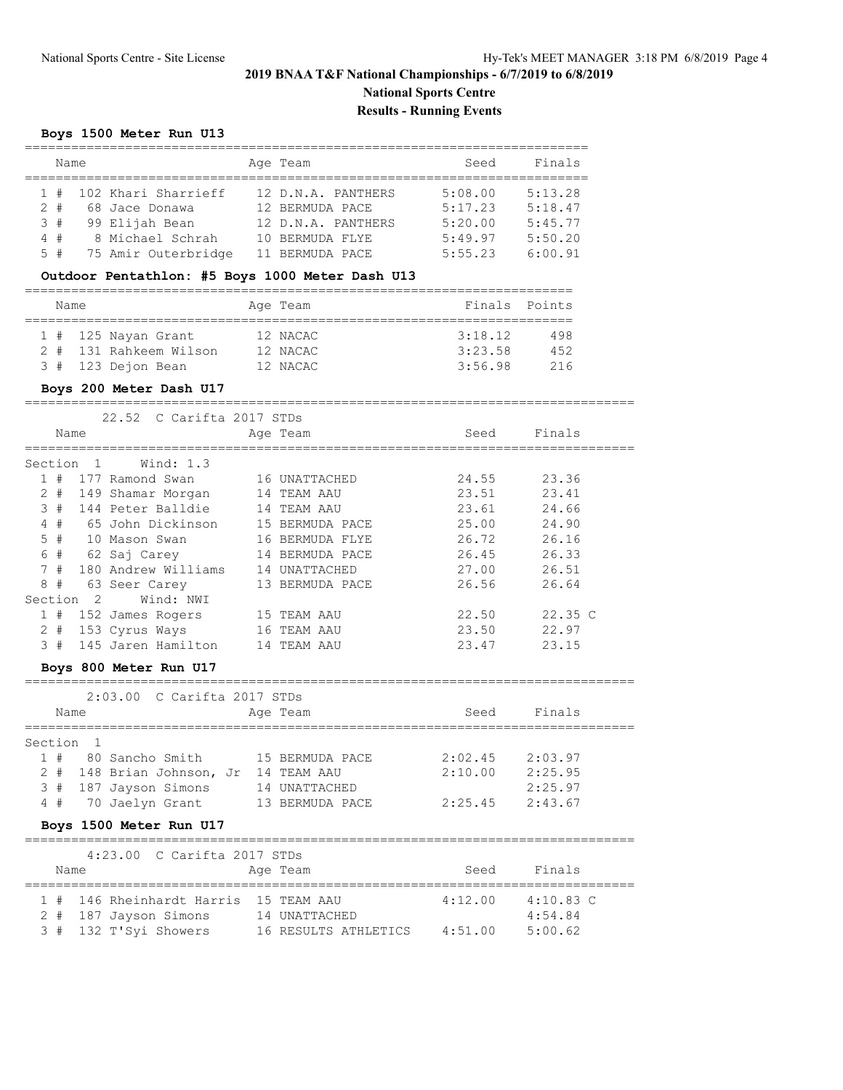# **2019 BNAA T&F National Championships - 6/7/2019 to 6/8/2019 National Sports Centre**

**Results - Running Events**

# **Boys 1500 Meter Run U13**

| Name  |  |                     |  | Age Team           | Seed    | Finals  |
|-------|--|---------------------|--|--------------------|---------|---------|
| 1#    |  | 102 Khari Sharrieff |  | 12 D.N.A. PANTHERS | 5:08.00 | 5:13.28 |
| $2 +$ |  | 68 Jace Donawa      |  | 12 BERMUDA PACE    | 5:17.23 | 5:18.47 |
| 3#    |  | 99 Elijah Bean      |  | 12 D.N.A. PANTHERS | 5:20.00 | 5:45.77 |
| 4#    |  | 8 Michael Schrah    |  | 10 BERMUDA FLYE    | 5:49.97 | 5:50.20 |
| 5#    |  | 75 Amir Outerbridge |  | 11 BERMUDA PACE    | 5:55.23 | 6:00.91 |

### **Outdoor Pentathlon: #5 Boys 1000 Meter Dash U13**

| Name |                        | Age Team |         | Finals Points |
|------|------------------------|----------|---------|---------------|
|      |                        |          |         |               |
|      | 1 # 125 Nayan Grant    | 12 NACAC | 3:18.12 | 498           |
|      | 2 # 131 Rahkeem Wilson | 12 NACAC | 3:23.58 | 452           |
|      | 3 # 123 Dejon Bean     | 12 NACAC | 3:56.98 | 216           |

#### **Boys 200 Meter Dash U17**

===============================================================================

|                                          |    |     | 22.52 C Carifta 2017 STDs |    |                   |  |       |        |  |
|------------------------------------------|----|-----|---------------------------|----|-------------------|--|-------|--------|--|
| Finals<br>Seed<br>Name<br>Age Team       |    |     |                           |    |                   |  |       |        |  |
| Wind: $1.3$<br>Section<br>$\overline{1}$ |    |     |                           |    |                   |  |       |        |  |
|                                          | #  |     | 177 Ramond Swan           |    | 16 UNATTACHED     |  | 24.55 | 23.36  |  |
| $2 +$                                    |    |     | 149 Shamar Morgan         |    | 14 TEAM AAU       |  | 23.51 | 23.41  |  |
| 3#                                       |    |     | 144 Peter Balldie         |    | 14 TEAM AAU       |  | 23.61 | 24.66  |  |
|                                          | 4# |     | 65 John Dickinson         |    | 15 BERMUDA PACE   |  | 25.00 | 24.90  |  |
| 5#                                       |    |     | 10 Mason Swan             |    | 16 BERMUDA FLYE   |  | 26.72 | 26.16  |  |
| 6#                                       |    |     | 62 Saj Carey              |    | 14 BERMUDA PACE   |  | 26.45 | 26.33  |  |
| 7#                                       |    |     | 180 Andrew Williams       | 14 | <b>UNATTACHED</b> |  | 27.00 | 26.51  |  |
| 8#                                       |    |     | 63 Seer Carey             |    | 13 BERMUDA PACE   |  | 26.56 | 26.64  |  |
| Section                                  |    | - 2 | Wind: NWI                 |    |                   |  |       |        |  |
| $\mathbf{1}$                             | #  |     | 152 James Rogers          |    | 15 TEAM AAU       |  | 22.50 | 22.35C |  |
| $2 +$                                    |    |     | 153 Cyrus Ways            |    | 16 TEAM AAU       |  | 23.50 | 22.97  |  |
| 3#                                       |    |     | 145 Jaren Hamilton        | 14 | TEAM AAU          |  | 23.47 | 23.15  |  |

#### **Boys 800 Meter Run U17**

===============================================================================

|      |           | 2:03.00 C Carifta 2017 STDs           |                 |         |         |
|------|-----------|---------------------------------------|-----------------|---------|---------|
| Name |           |                                       | Age Team        | Seed    | Finals  |
|      | Section 1 |                                       |                 |         |         |
| 1#   |           | 80 Sancho Smith                       | 15 BERMUDA PACE | 2:02.45 | 2:03.97 |
|      |           | 2 # 148 Brian Johnson, Jr 14 TEAM AAU |                 | 2:10.00 | 2:25.95 |
| 3#   |           | 187 Jayson Simons                     | 14 UNATTACHED   |         | 2:25.97 |
|      |           | 4 # 70 Jaelyn Grant                   | 13 BERMUDA PACE | 2:25.45 | 2:43.67 |
|      |           |                                       |                 |         |         |

## **Boys 1500 Meter Run U17**

|      |                       | 4:23.00 C Carifta 2017 STDs           |  |                      |  |         |             |  |  |
|------|-----------------------|---------------------------------------|--|----------------------|--|---------|-------------|--|--|
| Name |                       |                                       |  | Age Team             |  | Seed    | Finals      |  |  |
|      |                       | 1 # 146 Rheinhardt Harris 15 TEAM AAU |  |                      |  | 4:12.00 | $4:10.83$ C |  |  |
|      | 2 # 187 Jayson Simons |                                       |  | 14 UNATTACHED        |  |         | 4:54.84     |  |  |
|      | 3 # 132 T'Syi Showers |                                       |  | 16 RESULTS ATHLETICS |  | 4:51.00 | 5:00.62     |  |  |